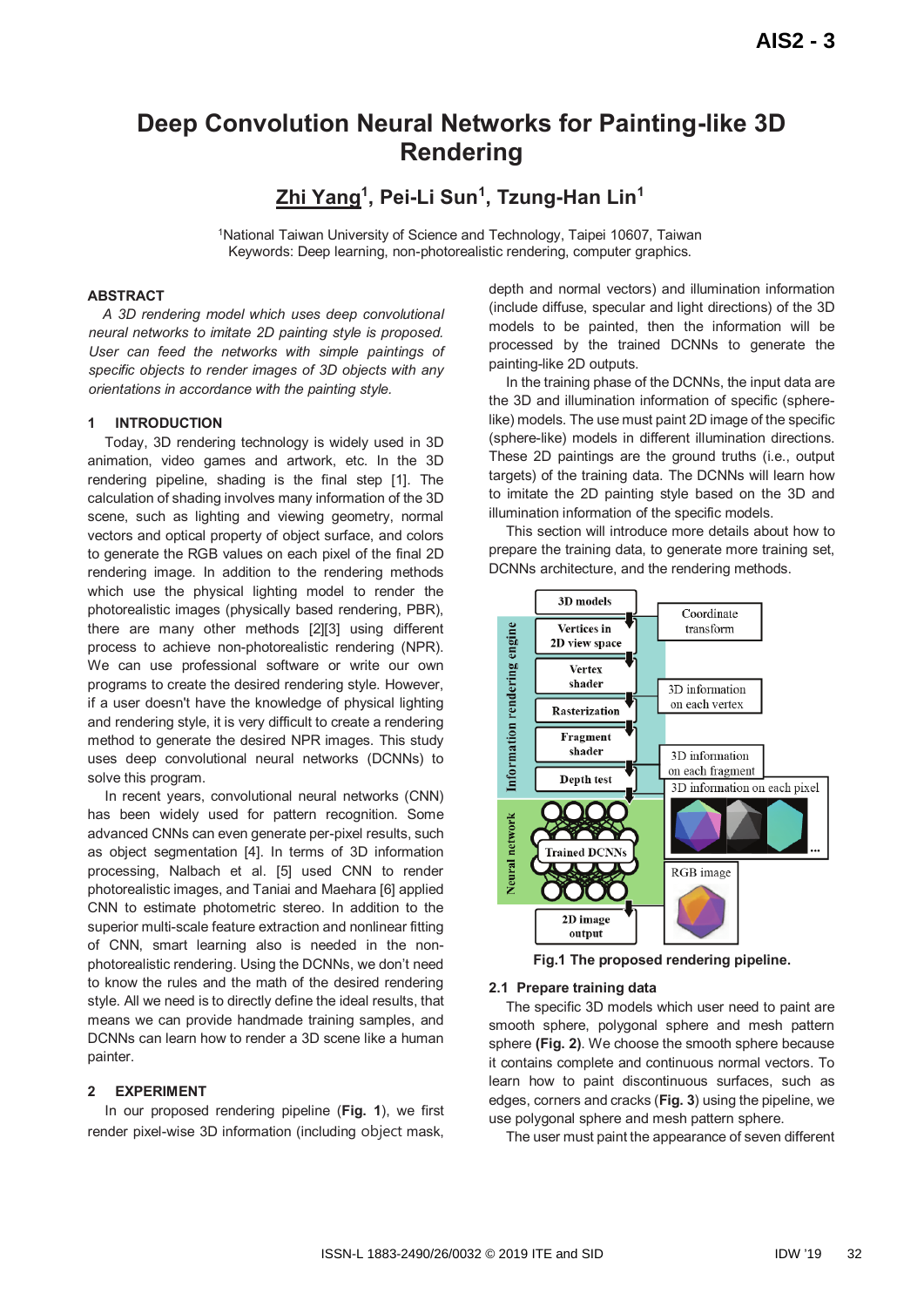# **Deep Convolution Neural Networks for Painting-like 3D Rendering**

**Zhi Yang<sup>1</sup> , Pei-Li Sun<sup>1</sup> , Tzung-Han Lin<sup>1</sup>**

1National Taiwan University of Science and Technology, Taipei 10607, Taiwan Keywords: Deep learning, non-photorealistic rendering, computer graphics.

## **ABSTRACT**

*A 3D rendering model which uses deep convolutional neural networks to imitate 2D painting style is proposed. User can feed the networks with simple paintings of specific objects to render images of 3D objects with any orientations in accordance with the painting style.* 

## **INTRODUCTION**

Today, 3D rendering technology is widely used in 3D animation, video games and artwork, etc. In the 3D rendering pipeline, shading is the final step [1]. The calculation of shading involves many information of the 3D scene, such as lighting and viewing geometry, normal vectors and optical property of object surface, and colors to generate the RGB values on each pixel of the final 2D rendering image. In addition to the rendering methods which use the physical lighting model to render the photorealistic images (physically based rendering, PBR), there are many other methods [2][3] using different process to achieve non-photorealistic rendering (NPR). We can use professional software or write our own programs to create the desired rendering style. However, if a user doesn't have the knowledge of physical lighting and rendering style, it is very difficult to create a rendering method to generate the desired NPR images. This study uses deep convolutional neural networks (DCNNs) to solve this program.

In recent years, convolutional neural networks (CNN) has been widely used for pattern recognition. Some advanced CNNs can even generate per-pixel results, such as object segmentation [4]. In terms of 3D information processing, Nalbach et al. [5] used CNN to render photorealistic images, and Taniai and Maehara [6] applied CNN to estimate photometric stereo. In addition to the superior multi-scale feature extraction and nonlinear fitting of CNN, smart learning also is needed in the nonphotorealistic rendering. Using the DCNNs, we don't need to know the rules and the math of the desired rendering style. All we need is to directly define the ideal results, that means we can provide handmade training samples, and DCNNs can learn how to render a 3D scene like a human painter.

# **2 EXPERIMENT**

In our proposed rendering pipeline (**Fig. 1**), we first render pixel-wise 3D information (including object mask,

depth and normal vectors) and illumination information (include diffuse, specular and light directions) of the 3D models to be painted, then the information will be processed by the trained DCNNs to generate the painting-like 2D outputs.

In the training phase of the DCNNs, the input data are the 3D and illumination information of specific (spherelike) models. The use must paint 2D image of the specific (sphere-like) models in different illumination directions. These 2D paintings are the ground truths (i.e., output targets) of the training data. The DCNNs will learn how to imitate the 2D painting style based on the 3D and illumination information of the specific models.

This section will introduce more details about how to prepare the training data, to generate more training set, DCNNs architecture, and the rendering methods.



**Fig.1 The proposed rendering pipeline.** 

#### **2.1 Prepare training data**

The specific 3D models which user need to paint are smooth sphere, polygonal sphere and mesh pattern sphere **(Fig. 2)**. We choose the smooth sphere because it contains complete and continuous normal vectors. To learn how to paint discontinuous surfaces, such as edges, corners and cracks (**Fig. 3**) using the pipeline, we use polygonal sphere and mesh pattern sphere.

The user must paint the appearance of seven different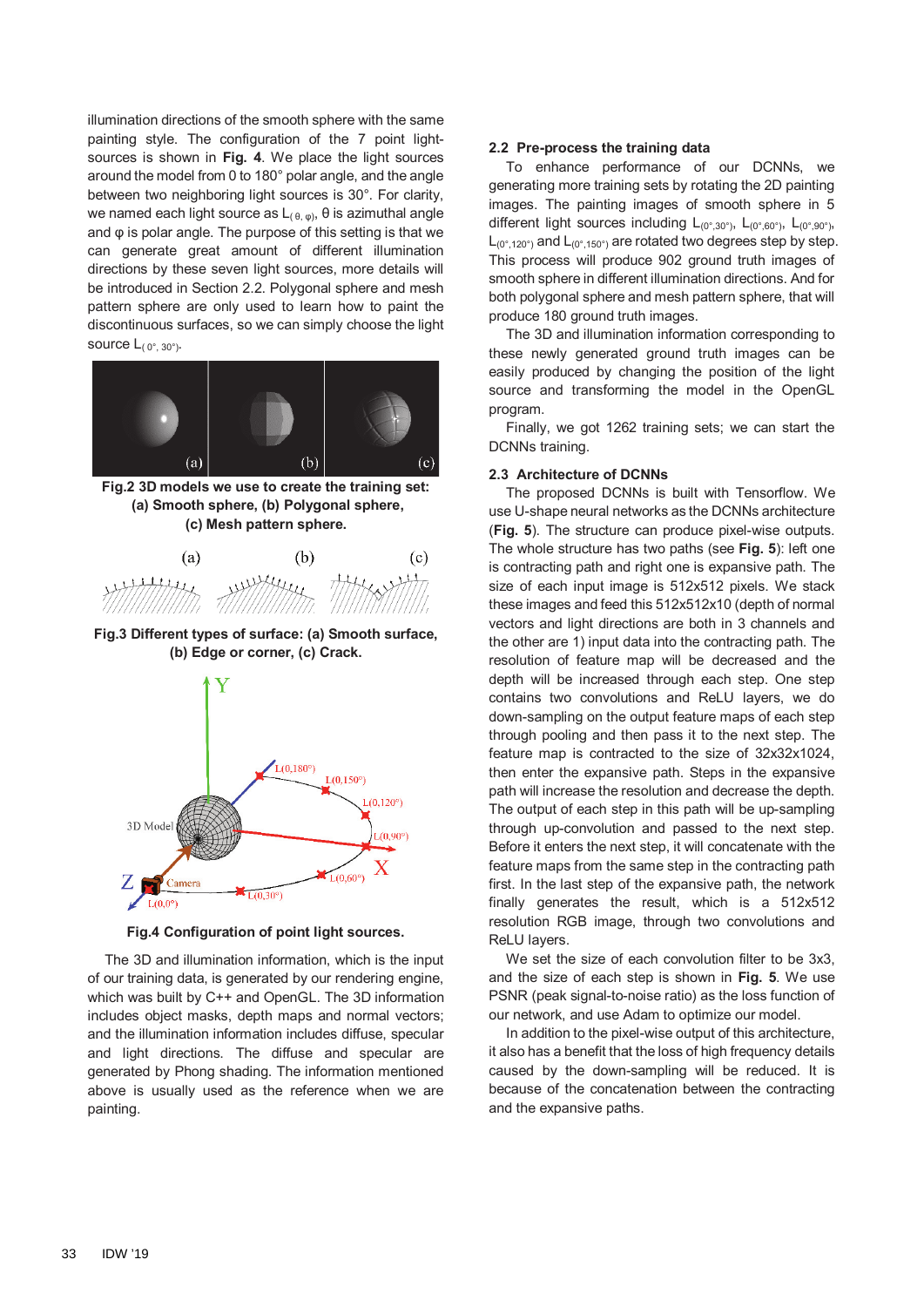illumination directions of the smooth sphere with the same painting style. The configuration of the 7 point lightsources is shown in **Fig. 4**. We place the light sources around the model from 0 to 180° polar angle, and the angle between two neighboring light sources is 30°. For clarity, we named each light source as  $L_{(θ, ω)}$ , θ is azimuthal angle and φ is polar angle. The purpose of this setting is that we can generate great amount of different illumination directions by these seven light sources, more details will be introduced in Section 2.2. Polygonal sphere and mesh pattern sphere are only used to learn how to paint the discontinuous surfaces, so we can simply choose the light source  $L_{(0^{\circ}, 30^{\circ})}$ .



**Fig.2 3D models we use to create the training set: (a) Smooth sphere, (b) Polygonal sphere, (c) Mesh pattern sphere.** 



**Fig.3 Different types of surface: (a) Smooth surface, (b) Edge or corner, (c) Crack.** 



**Fig.4 Configuration of point light sources.** 

The 3D and illumination information, which is the input of our training data, is generated by our rendering engine, which was built by C++ and OpenGL. The 3D information includes object masks, depth maps and normal vectors; and the illumination information includes diffuse, specular and light directions. The diffuse and specular are generated by Phong shading. The information mentioned above is usually used as the reference when we are painting.

## **2.2 Pre-process the training data**

To enhance performance of our DCNNs, we generating more training sets by rotating the 2D painting images. The painting images of smooth sphere in 5 different light sources including  $L_{(0^{\circ},30^{\circ})}$ ,  $L_{(0^{\circ},60^{\circ})}$ ,  $L_{(0^{\circ},90^{\circ})}$ ,  $L_{(0^{\circ},120^{\circ})}$  and  $L_{(0^{\circ},150^{\circ})}$  are rotated two degrees step by step. This process will produce 902 ground truth images of smooth sphere in different illumination directions. And for both polygonal sphere and mesh pattern sphere, that will produce 180 ground truth images.

The 3D and illumination information corresponding to these newly generated ground truth images can be easily produced by changing the position of the light source and transforming the model in the OpenGL program.

Finally, we got 1262 training sets; we can start the DCNNs training.

#### **2.3 Architecture of DCNNs**

The proposed DCNNs is built with Tensorflow. We use U-shape neural networks as the DCNNs architecture (**Fig. 5**). The structure can produce pixel-wise outputs. The whole structure has two paths (see **Fig. 5**): left one is contracting path and right one is expansive path. The size of each input image is 512x512 pixels. We stack these images and feed this 512x512x10 (depth of normal vectors and light directions are both in 3 channels and the other are 1) input data into the contracting path. The resolution of feature map will be decreased and the depth will be increased through each step. One step contains two convolutions and ReLU layers, we do down-sampling on the output feature maps of each step through pooling and then pass it to the next step. The feature map is contracted to the size of 32x32x1024, then enter the expansive path. Steps in the expansive path will increase the resolution and decrease the depth. The output of each step in this path will be up-sampling through up-convolution and passed to the next step. Before it enters the next step, it will concatenate with the feature maps from the same step in the contracting path first. In the last step of the expansive path, the network finally generates the result, which is a 512x512 resolution RGB image, through two convolutions and ReLU layers.

We set the size of each convolution filter to be 3x3, and the size of each step is shown in **Fig. 5**. We use PSNR (peak signal-to-noise ratio) as the loss function of our network, and use Adam to optimize our model.

In addition to the pixel-wise output of this architecture, it also has a benefit that the loss of high frequency details caused by the down-sampling will be reduced. It is because of the concatenation between the contracting and the expansive paths.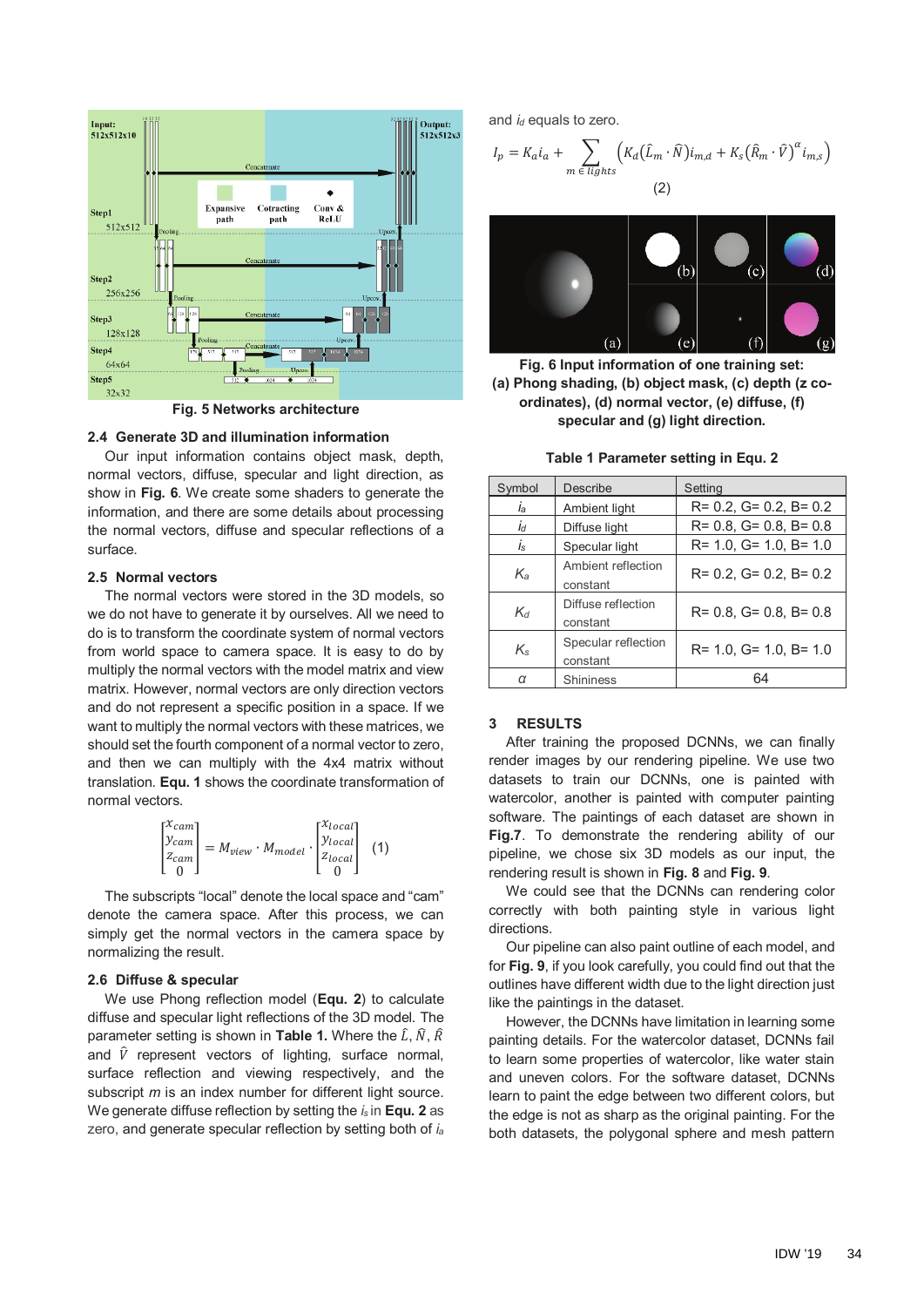

**Fig. 5 Networks architecture**

#### **2.4 Generate 3D and illumination information**

Our input information contains object mask, depth, normal vectors, diffuse, specular and light direction, as show in **Fig. 6**. We create some shaders to generate the information, and there are some details about processing the normal vectors, diffuse and specular reflections of a surface.

## **2.5 Normal vectors**

The normal vectors were stored in the 3D models, so we do not have to generate it by ourselves. All we need to do is to transform the coordinate system of normal vectors from world space to camera space. It is easy to do by multiply the normal vectors with the model matrix and view matrix. However, normal vectors are only direction vectors and do not represent a specific position in a space. If we want to multiply the normal vectors with these matrices, we should set the fourth component of a normal vector to zero, and then we can multiply with the 4x4 matrix without translation. **Equ. 1** shows the coordinate transformation of normal vectors.

$$
\begin{bmatrix} x_{cam} \\ y_{cam} \\ z_{cam} \\ 0 \end{bmatrix} = M_{view} \cdot M_{model} \cdot \begin{bmatrix} x_{local} \\ y_{local} \\ z_{local} \\ 0 \end{bmatrix} \quad (1)
$$

The subscripts "local" denote the local space and "cam" denote the camera space. After this process, we can simply get the normal vectors in the camera space by normalizing the result.

## **2.6 Diffuse & specular**

We use Phong reflection model (**Equ. 2**) to calculate diffuse and specular light reflections of the 3D model. The parameter setting is shown in **Table 1.** Where the  $\hat{L}$ ,  $\hat{N}$ ,  $\hat{R}$ and  $\hat{V}$  represent vectors of lighting, surface normal, surface reflection and viewing respectively, and the subscript *m* is an index number for different light source. We generate diffuse reflection by setting the *is* in **Equ. 2** as zero, and generate specular reflection by setting both of *ia* 

and *id* equals to zero.

$$
I_p = K_a i_a + \sum_{m \text{ } \in \text{ } lights} \left( K_d \left( \hat{L}_m \cdot \hat{N} \right) i_{m,d} + K_s \left( \hat{R}_m \cdot \hat{V} \right)^{\alpha} i_{m,s} \right)
$$
\n
$$
(2)
$$



**Fig. 6 Input information of one training set: (a) Phong shading, (b) object mask, (c) depth (z coordinates), (d) normal vector, (e) diffuse, (f) specular and (g) light direction.** 

**Table 1 Parameter setting in Equ. 2** 

| Symbol      | Describe                        | Setting                           |
|-------------|---------------------------------|-----------------------------------|
| la          | Ambient light                   | $R = 0.2$ , $G = 0.2$ , $B = 0.2$ |
| ld          | Diffuse light                   | $R = 0.8$ , $G = 0.8$ , $B = 0.8$ |
| Is          | Specular light                  | $R = 1.0$ , $G = 1.0$ , $B = 1.0$ |
| $K_{\rm a}$ | Ambient reflection<br>constant  | $R = 0.2$ , $G = 0.2$ , $B = 0.2$ |
| $K_d$       | Diffuse reflection<br>constant  | $R = 0.8$ , $G = 0.8$ , $B = 0.8$ |
| $K_{s}$     | Specular reflection<br>constant | $R = 1.0$ , $G = 1.0$ , $B = 1.0$ |
|             | <b>Shininess</b>                |                                   |

## **3 RESULTS**

After training the proposed DCNNs, we can finally render images by our rendering pipeline. We use two datasets to train our DCNNs, one is painted with watercolor, another is painted with computer painting software. The paintings of each dataset are shown in **Fig.7**. To demonstrate the rendering ability of our pipeline, we chose six 3D models as our input, the rendering result is shown in **Fig. 8** and **Fig. 9**.

We could see that the DCNNs can rendering color correctly with both painting style in various light directions.

Our pipeline can also paint outline of each model, and for **Fig. 9**, if you look carefully, you could find out that the outlines have different width due to the light direction just like the paintings in the dataset.

However, the DCNNs have limitation in learning some painting details. For the watercolor dataset, DCNNs fail to learn some properties of watercolor, like water stain and uneven colors. For the software dataset, DCNNs learn to paint the edge between two different colors, but the edge is not as sharp as the original painting. For the both datasets, the polygonal sphere and mesh pattern